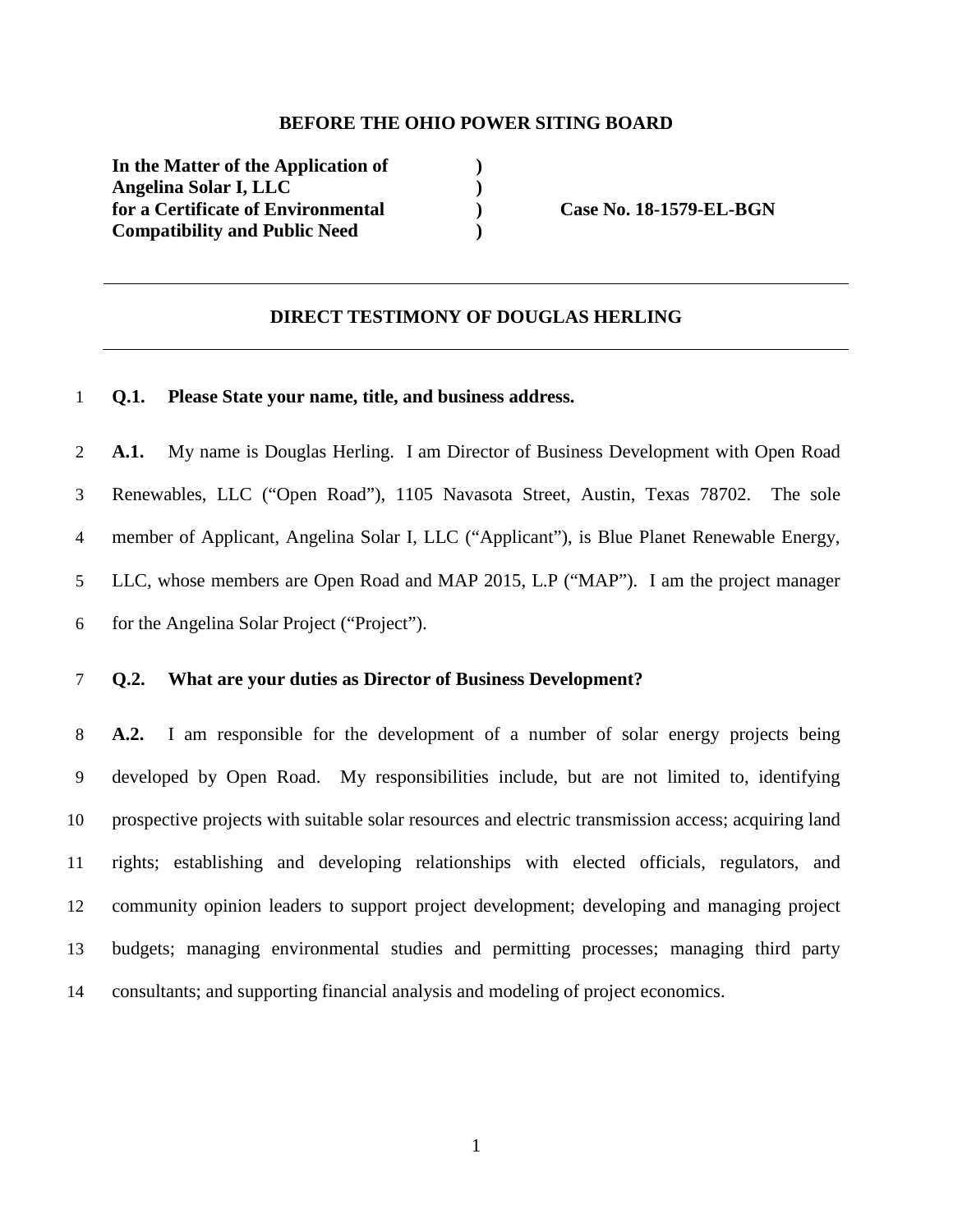#### **BEFORE THE OHIO POWER SITING BOARD**

**In the Matter of the Application of ) Angelina Solar I, LLC )**  for a Certificate of Environmental **Case No. 18-1579-EL-BGN Compatibility and Public Need )** 

#### **DIRECT TESTIMONY OF DOUGLAS HERLING**

#### **Q.1. Please State your name, title, and business address.**

**A.1.** My name is Douglas Herling. I am Director of Business Development with Open Road Renewables, LLC ("Open Road"), 1105 Navasota Street, Austin, Texas 78702. The sole member of Applicant, Angelina Solar I, LLC ("Applicant"), is Blue Planet Renewable Energy, LLC, whose members are Open Road and MAP 2015, L.P ("MAP"). I am the project manager for the Angelina Solar Project ("Project").

#### **Q.2. What are your duties as Director of Business Development?**

**A.2.** I am responsible for the development of a number of solar energy projects being developed by Open Road. My responsibilities include, but are not limited to, identifying prospective projects with suitable solar resources and electric transmission access; acquiring land rights; establishing and developing relationships with elected officials, regulators, and community opinion leaders to support project development; developing and managing project budgets; managing environmental studies and permitting processes; managing third party consultants; and supporting financial analysis and modeling of project economics.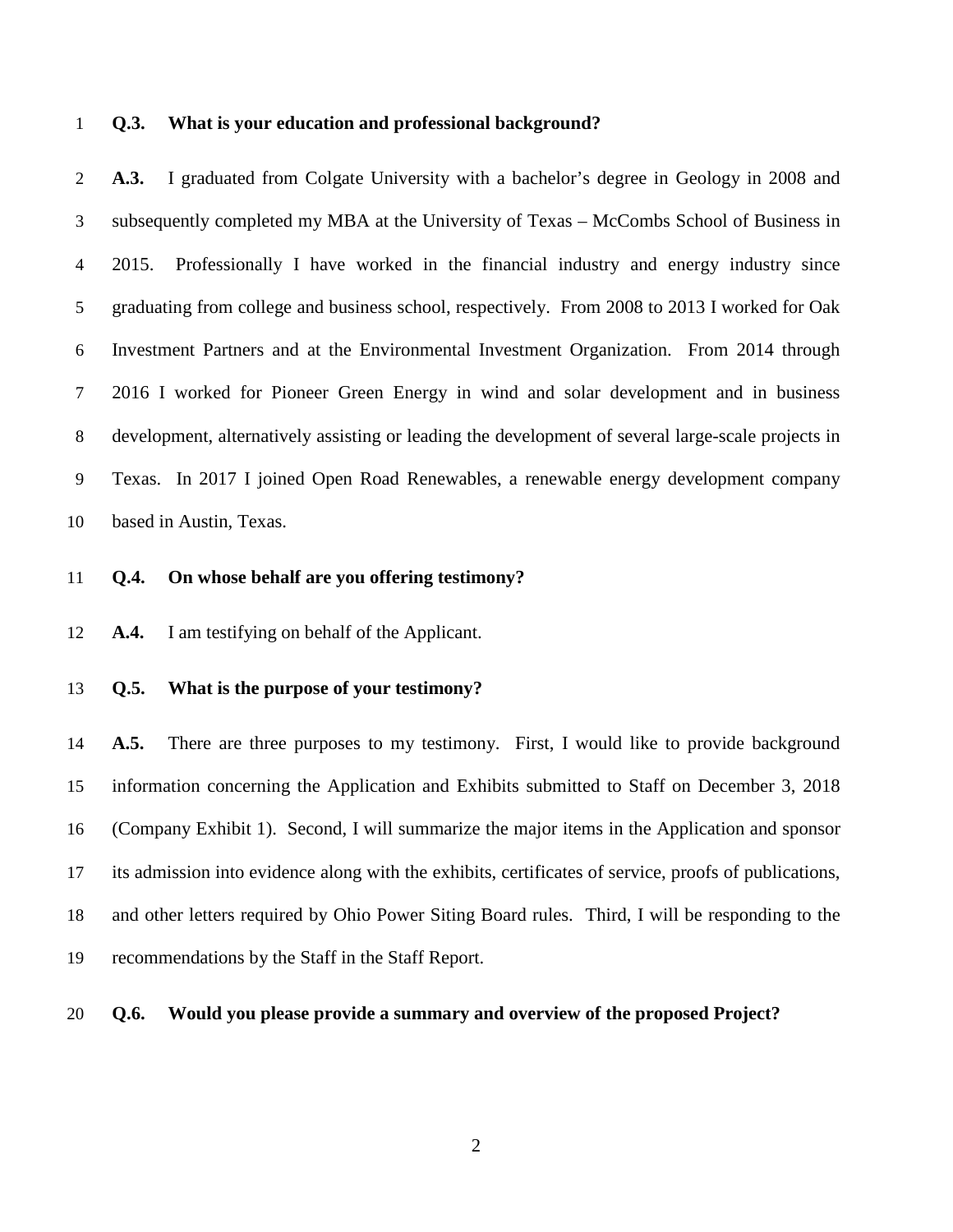#### **Q.3. What is your education and professional background?**

**A.3.** I graduated from Colgate University with a bachelor's degree in Geology in 2008 and subsequently completed my MBA at the University of Texas – McCombs School of Business in 2015. Professionally I have worked in the financial industry and energy industry since graduating from college and business school, respectively. From 2008 to 2013 I worked for Oak Investment Partners and at the Environmental Investment Organization. From 2014 through 2016 I worked for Pioneer Green Energy in wind and solar development and in business development, alternatively assisting or leading the development of several large-scale projects in Texas. In 2017 I joined Open Road Renewables, a renewable energy development company based in Austin, Texas.

#### **Q.4. On whose behalf are you offering testimony?**

**A.4.** I am testifying on behalf of the Applicant.

#### **Q.5. What is the purpose of your testimony?**

**A.5.** There are three purposes to my testimony. First, I would like to provide background information concerning the Application and Exhibits submitted to Staff on December 3, 2018 (Company Exhibit 1). Second, I will summarize the major items in the Application and sponsor its admission into evidence along with the exhibits, certificates of service, proofs of publications, and other letters required by Ohio Power Siting Board rules. Third, I will be responding to the recommendations by the Staff in the Staff Report.

#### **Q.6. Would you please provide a summary and overview of the proposed Project?**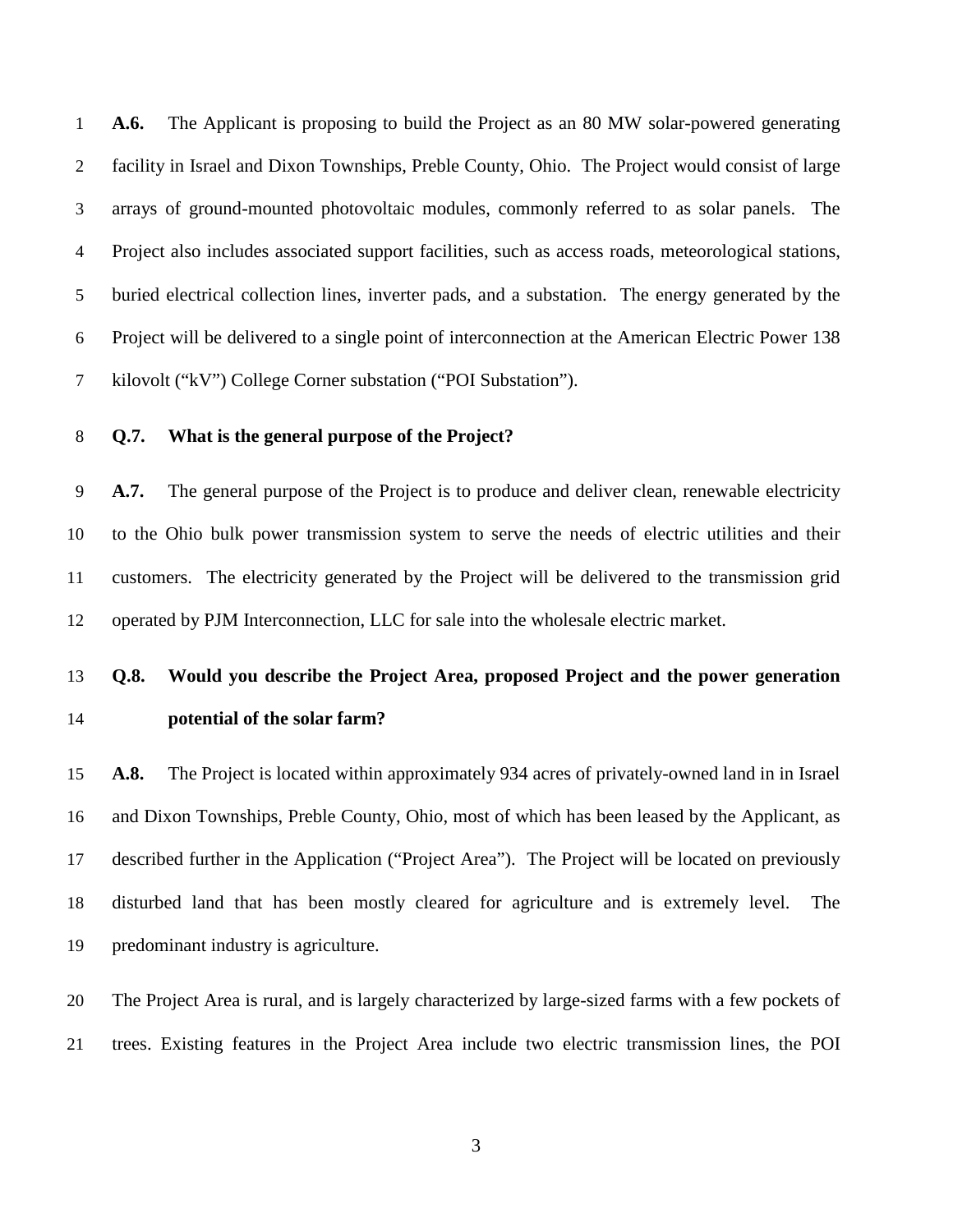**A.6.** The Applicant is proposing to build the Project as an 80 MW solar-powered generating facility in Israel and Dixon Townships, Preble County, Ohio. The Project would consist of large arrays of ground-mounted photovoltaic modules, commonly referred to as solar panels. The Project also includes associated support facilities, such as access roads, meteorological stations, buried electrical collection lines, inverter pads, and a substation. The energy generated by the Project will be delivered to a single point of interconnection at the American Electric Power 138 kilovolt ("kV") College Corner substation ("POI Substation").

#### **Q.7. What is the general purpose of the Project?**

**A.7.** The general purpose of the Project is to produce and deliver clean, renewable electricity to the Ohio bulk power transmission system to serve the needs of electric utilities and their customers. The electricity generated by the Project will be delivered to the transmission grid operated by PJM Interconnection, LLC for sale into the wholesale electric market.

### **Q.8. Would you describe the Project Area, proposed Project and the power generation potential of the solar farm?**

**A.8.** The Project is located within approximately 934 acres of privately-owned land in in Israel and Dixon Townships, Preble County, Ohio, most of which has been leased by the Applicant, as described further in the Application ("Project Area"). The Project will be located on previously disturbed land that has been mostly cleared for agriculture and is extremely level. The predominant industry is agriculture.

The Project Area is rural, and is largely characterized by large-sized farms with a few pockets of trees. Existing features in the Project Area include two electric transmission lines, the POI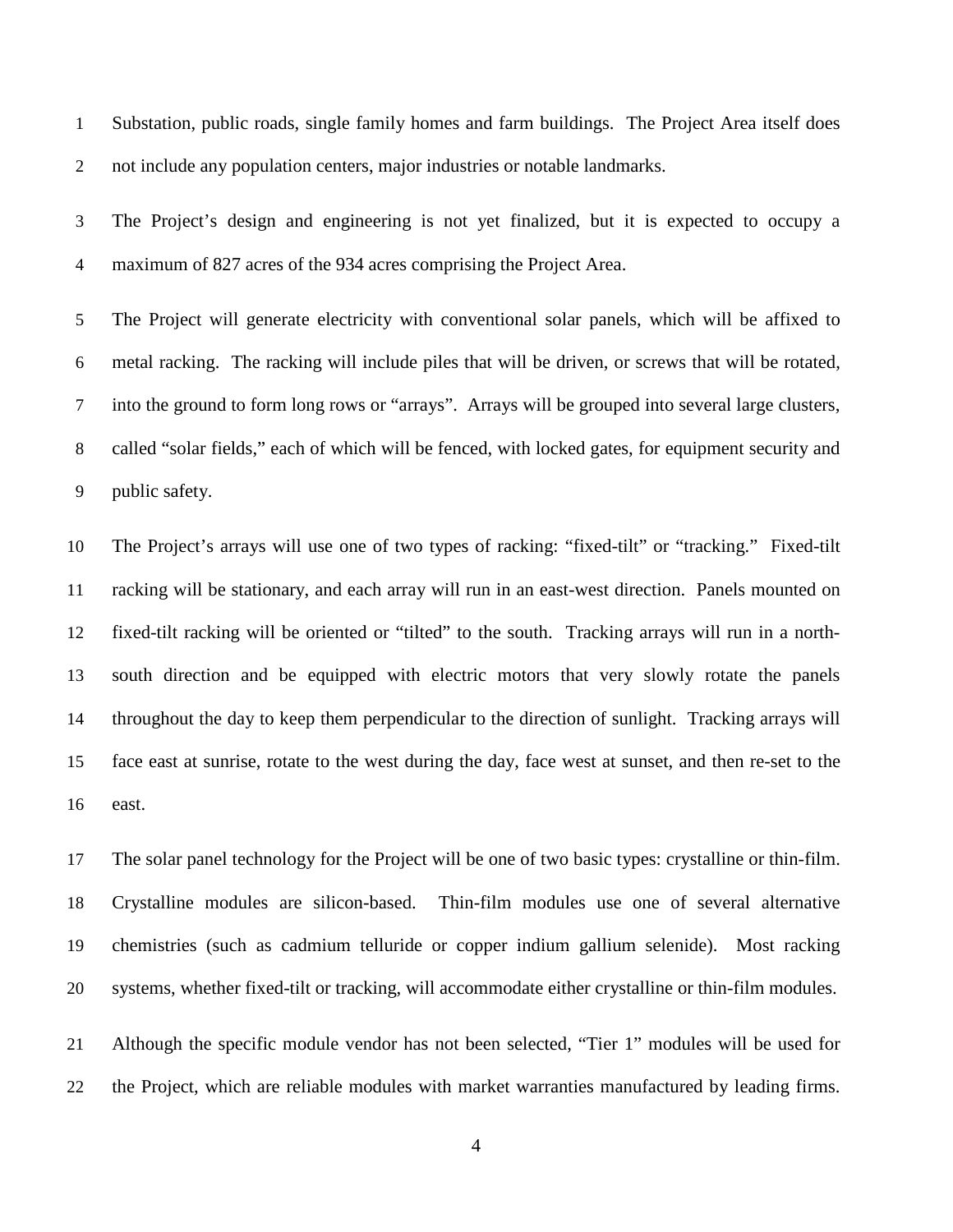Substation, public roads, single family homes and farm buildings. The Project Area itself does not include any population centers, major industries or notable landmarks.

The Project's design and engineering is not yet finalized, but it is expected to occupy a maximum of 827 acres of the 934 acres comprising the Project Area.

The Project will generate electricity with conventional solar panels, which will be affixed to metal racking. The racking will include piles that will be driven, or screws that will be rotated, into the ground to form long rows or "arrays". Arrays will be grouped into several large clusters, called "solar fields," each of which will be fenced, with locked gates, for equipment security and public safety.

The Project's arrays will use one of two types of racking: "fixed-tilt" or "tracking." Fixed-tilt racking will be stationary, and each array will run in an east-west direction. Panels mounted on fixed-tilt racking will be oriented or "tilted" to the south. Tracking arrays will run in a north-south direction and be equipped with electric motors that very slowly rotate the panels throughout the day to keep them perpendicular to the direction of sunlight. Tracking arrays will face east at sunrise, rotate to the west during the day, face west at sunset, and then re-set to the east.

The solar panel technology for the Project will be one of two basic types: crystalline or thin-film. Crystalline modules are silicon-based. Thin-film modules use one of several alternative chemistries (such as cadmium telluride or copper indium gallium selenide). Most racking systems, whether fixed-tilt or tracking, will accommodate either crystalline or thin-film modules.

Although the specific module vendor has not been selected, "Tier 1" modules will be used for the Project, which are reliable modules with market warranties manufactured by leading firms.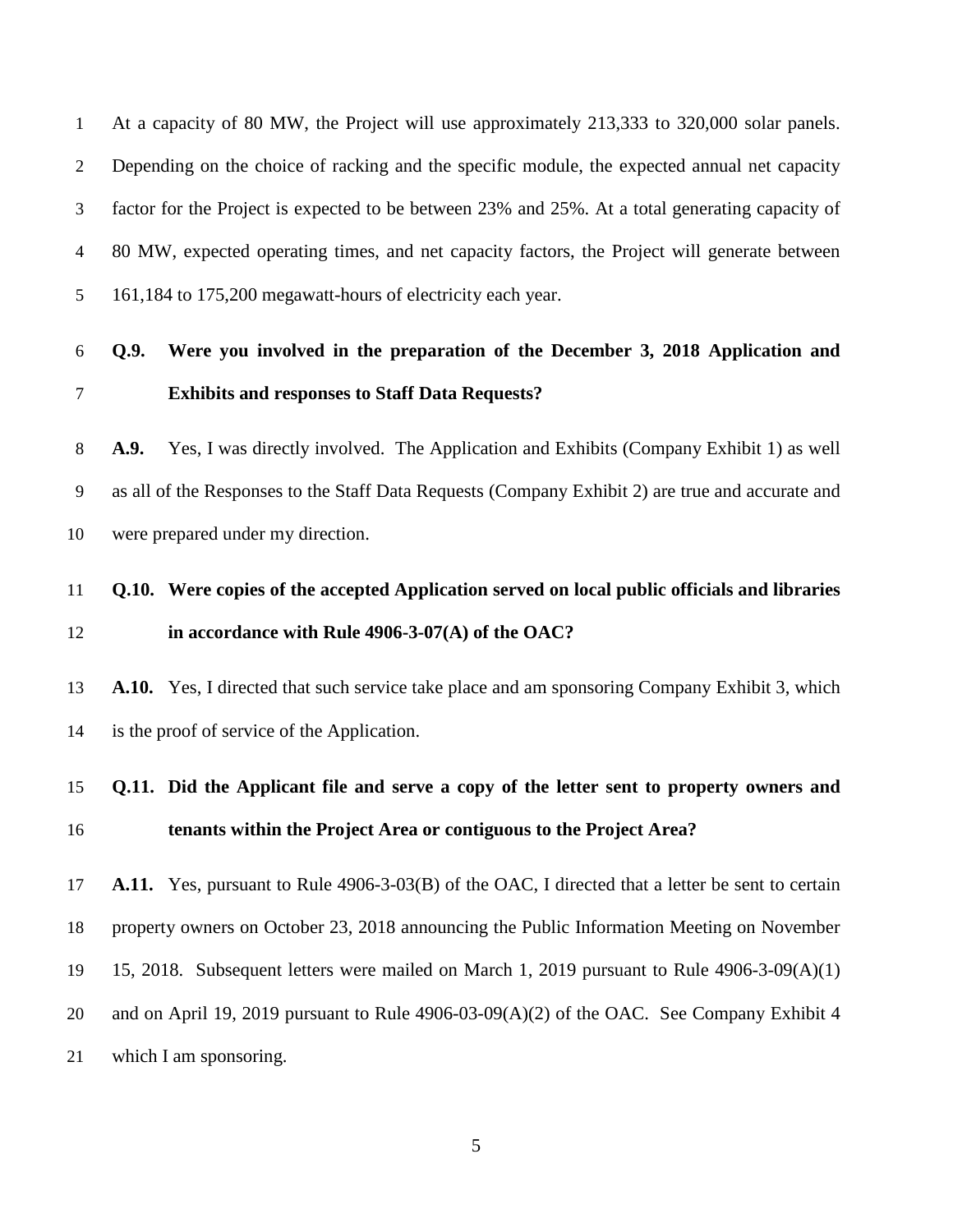At a capacity of 80 MW, the Project will use approximately 213,333 to 320,000 solar panels. Depending on the choice of racking and the specific module, the expected annual net capacity factor for the Project is expected to be between 23% and 25%. At a total generating capacity of 80 MW, expected operating times, and net capacity factors, the Project will generate between 161,184 to 175,200 megawatt-hours of electricity each year.

### **Q.9. Were you involved in the preparation of the December 3, 2018 Application and Exhibits and responses to Staff Data Requests?**

**A.9.** Yes, I was directly involved. The Application and Exhibits (Company Exhibit 1) as well as all of the Responses to the Staff Data Requests (Company Exhibit 2) are true and accurate and were prepared under my direction.

# **Q.10. Were copies of the accepted Application served on local public officials and libraries in accordance with Rule 4906-3-07(A) of the OAC?**

**A.10.** Yes, I directed that such service take place and am sponsoring Company Exhibit 3, which is the proof of service of the Application.

# **Q.11. Did the Applicant file and serve a copy of the letter sent to property owners and tenants within the Project Area or contiguous to the Project Area?**

**A.11.** Yes, pursuant to Rule 4906-3-03(B) of the OAC, I directed that a letter be sent to certain property owners on October 23, 2018 announcing the Public Information Meeting on November 15, 2018. Subsequent letters were mailed on March 1, 2019 pursuant to Rule 4906-3-09(A)(1) 20 and on April 19, 2019 pursuant to Rule 4906-03-09(A)(2) of the OAC. See Company Exhibit 4 which I am sponsoring.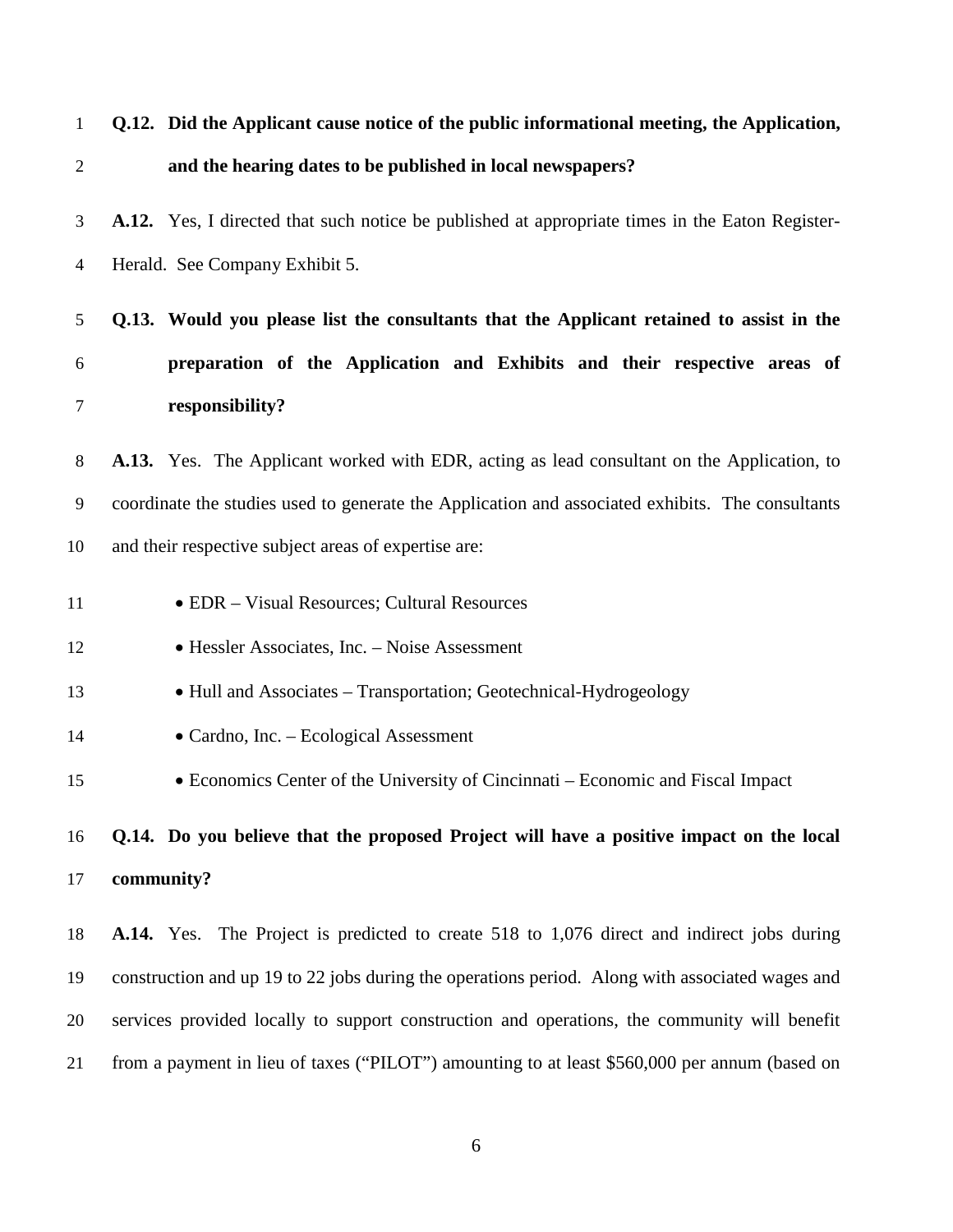| $\mathbf{1}$ | Q.12. Did the Applicant cause notice of the public informational meeting, the Application,       |
|--------------|--------------------------------------------------------------------------------------------------|
| $\mathbf{2}$ | and the hearing dates to be published in local newspapers?                                       |
| 3            | A.12. Yes, I directed that such notice be published at appropriate times in the Eaton Register-  |
| 4            | Herald. See Company Exhibit 5.                                                                   |
| 5            | Q.13. Would you please list the consultants that the Applicant retained to assist in the         |
| 6            | preparation of the Application and Exhibits and their respective areas of                        |
| $\tau$       | responsibility?                                                                                  |
| 8            | A.13. Yes. The Applicant worked with EDR, acting as lead consultant on the Application, to       |
| 9            | coordinate the studies used to generate the Application and associated exhibits. The consultants |
| 10           | and their respective subject areas of expertise are:                                             |
| 11           | • EDR - Visual Resources; Cultural Resources                                                     |
| 12           | • Hessler Associates, Inc. - Noise Assessment                                                    |
| 13           | • Hull and Associates - Transportation; Geotechnical-Hydrogeology                                |
| 14           | • Cardno, Inc. - Ecological Assessment                                                           |
| 15           | • Economics Center of the University of Cincinnati – Economic and Fiscal Impact                  |
| 16           | Q.14. Do you believe that the proposed Project will have a positive impact on the local          |
| 17           | community?                                                                                       |
| 18           | A.14. Yes. The Project is predicted to create 518 to 1,076 direct and indirect jobs during       |
| 19           | construction and up 19 to 22 jobs during the operations period. Along with associated wages and  |
| 20           | services provided locally to support construction and operations, the community will benefit     |
| 21           | from a payment in lieu of taxes ("PILOT") amounting to at least \$560,000 per annum (based on    |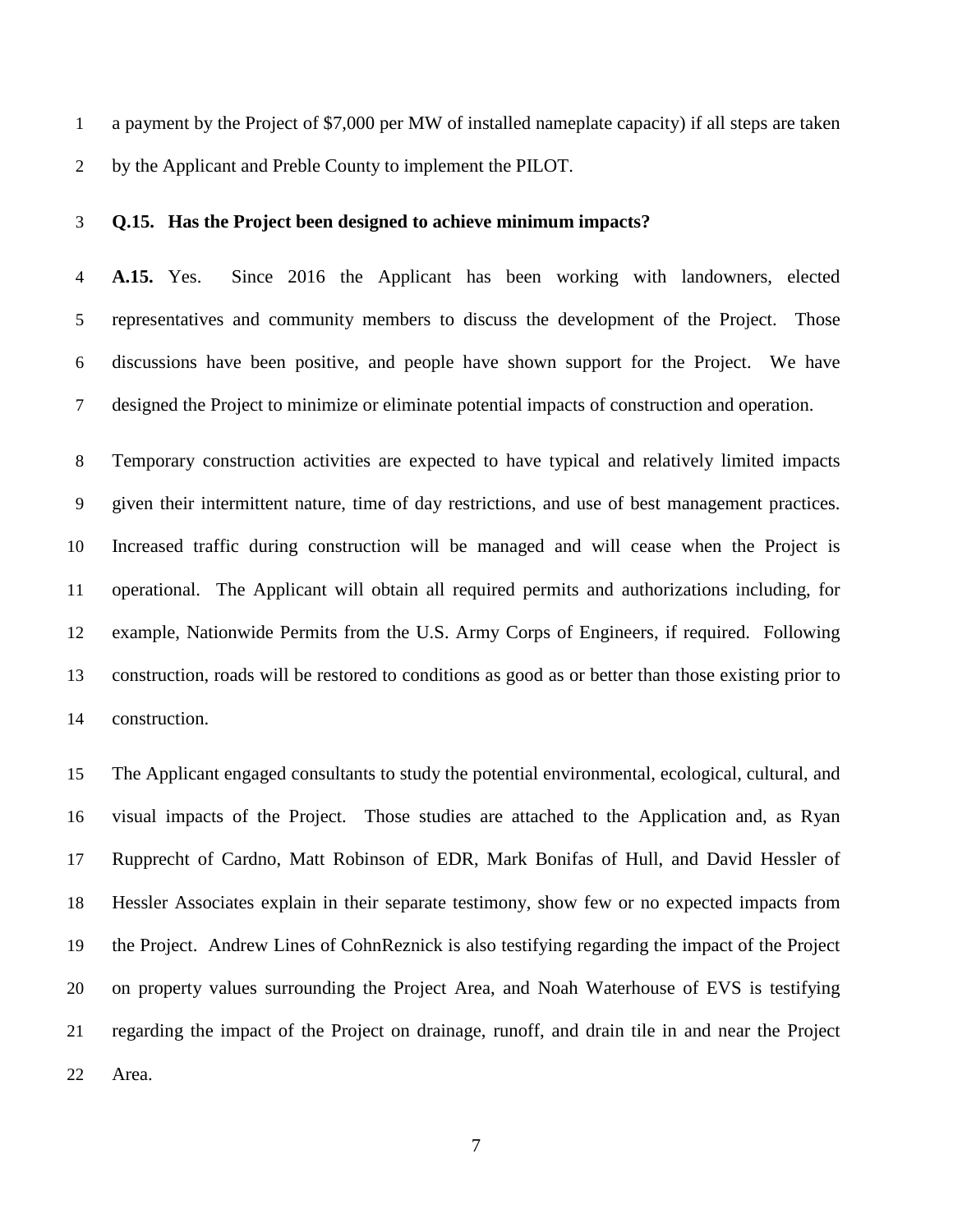a payment by the Project of \$7,000 per MW of installed nameplate capacity) if all steps are taken by the Applicant and Preble County to implement the PILOT.

#### **Q.15. Has the Project been designed to achieve minimum impacts?**

**A.15.** Yes. Since 2016 the Applicant has been working with landowners, elected representatives and community members to discuss the development of the Project. Those discussions have been positive, and people have shown support for the Project. We have designed the Project to minimize or eliminate potential impacts of construction and operation.

Temporary construction activities are expected to have typical and relatively limited impacts given their intermittent nature, time of day restrictions, and use of best management practices. Increased traffic during construction will be managed and will cease when the Project is operational. The Applicant will obtain all required permits and authorizations including, for example, Nationwide Permits from the U.S. Army Corps of Engineers, if required. Following construction, roads will be restored to conditions as good as or better than those existing prior to construction.

The Applicant engaged consultants to study the potential environmental, ecological, cultural, and visual impacts of the Project. Those studies are attached to the Application and, as Ryan Rupprecht of Cardno, Matt Robinson of EDR, Mark Bonifas of Hull, and David Hessler of Hessler Associates explain in their separate testimony, show few or no expected impacts from the Project. Andrew Lines of CohnReznick is also testifying regarding the impact of the Project on property values surrounding the Project Area, and Noah Waterhouse of EVS is testifying regarding the impact of the Project on drainage, runoff, and drain tile in and near the Project Area.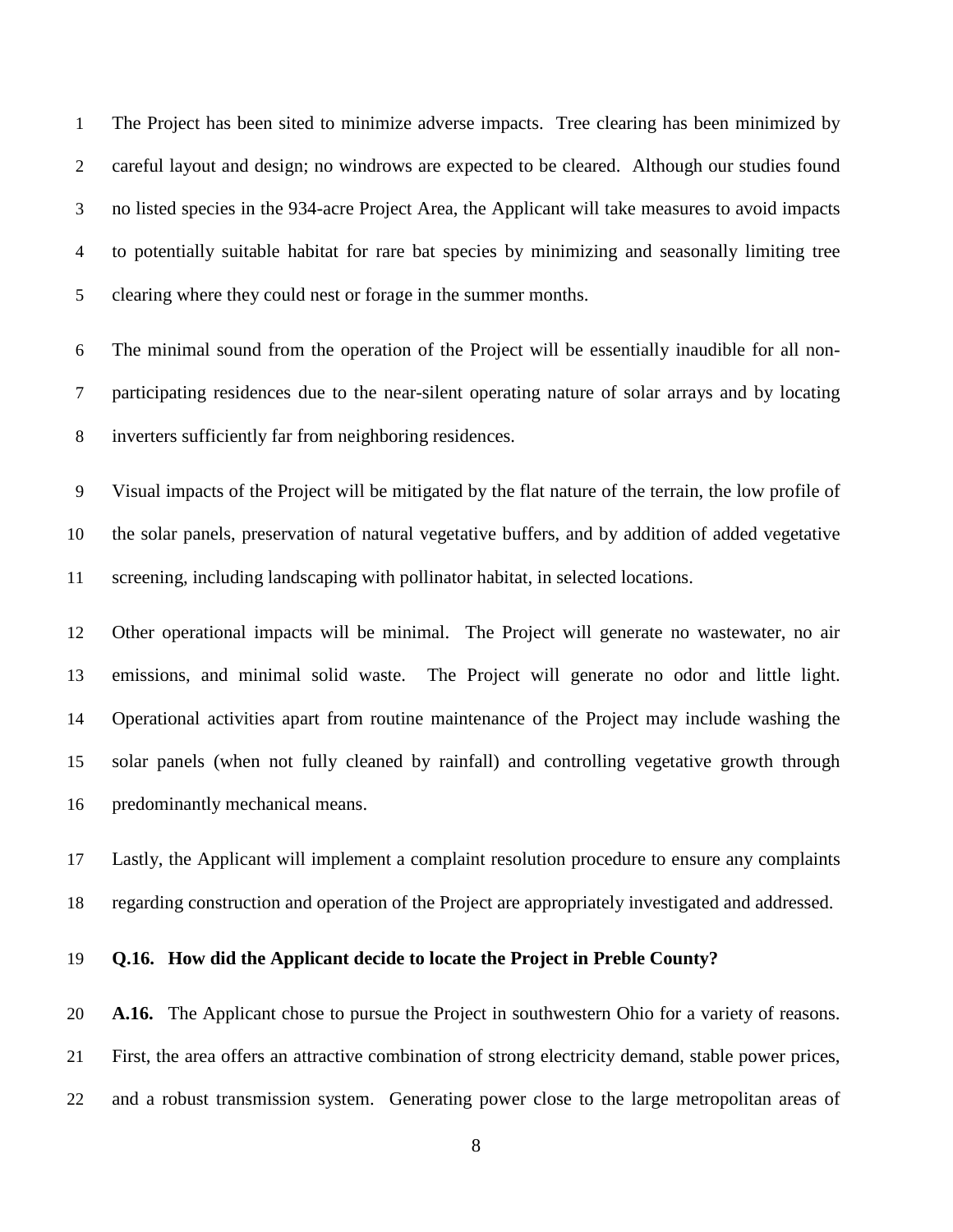The Project has been sited to minimize adverse impacts. Tree clearing has been minimized by careful layout and design; no windrows are expected to be cleared. Although our studies found no listed species in the 934-acre Project Area, the Applicant will take measures to avoid impacts to potentially suitable habitat for rare bat species by minimizing and seasonally limiting tree clearing where they could nest or forage in the summer months.

The minimal sound from the operation of the Project will be essentially inaudible for all non-participating residences due to the near-silent operating nature of solar arrays and by locating inverters sufficiently far from neighboring residences.

Visual impacts of the Project will be mitigated by the flat nature of the terrain, the low profile of the solar panels, preservation of natural vegetative buffers, and by addition of added vegetative screening, including landscaping with pollinator habitat, in selected locations.

Other operational impacts will be minimal. The Project will generate no wastewater, no air emissions, and minimal solid waste. The Project will generate no odor and little light. Operational activities apart from routine maintenance of the Project may include washing the solar panels (when not fully cleaned by rainfall) and controlling vegetative growth through predominantly mechanical means.

Lastly, the Applicant will implement a complaint resolution procedure to ensure any complaints regarding construction and operation of the Project are appropriately investigated and addressed.

### **Q.16. How did the Applicant decide to locate the Project in Preble County?**

**A.16.** The Applicant chose to pursue the Project in southwestern Ohio for a variety of reasons. First, the area offers an attractive combination of strong electricity demand, stable power prices, and a robust transmission system. Generating power close to the large metropolitan areas of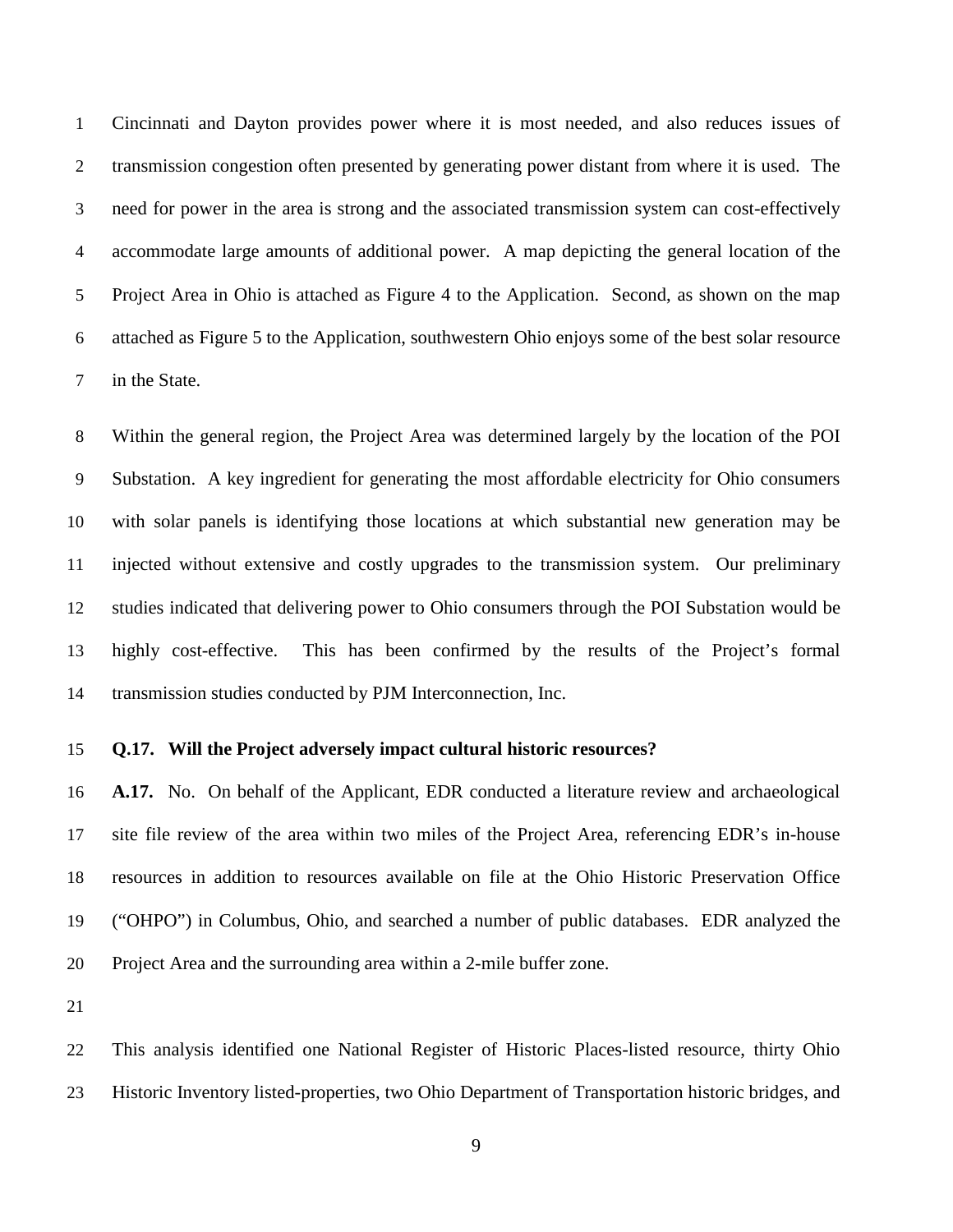Cincinnati and Dayton provides power where it is most needed, and also reduces issues of transmission congestion often presented by generating power distant from where it is used. The need for power in the area is strong and the associated transmission system can cost-effectively accommodate large amounts of additional power. A map depicting the general location of the Project Area in Ohio is attached as Figure 4 to the Application. Second, as shown on the map attached as Figure 5 to the Application, southwestern Ohio enjoys some of the best solar resource in the State.

Within the general region, the Project Area was determined largely by the location of the POI Substation. A key ingredient for generating the most affordable electricity for Ohio consumers with solar panels is identifying those locations at which substantial new generation may be injected without extensive and costly upgrades to the transmission system. Our preliminary studies indicated that delivering power to Ohio consumers through the POI Substation would be highly cost-effective. This has been confirmed by the results of the Project's formal transmission studies conducted by PJM Interconnection, Inc.

#### **Q.17. Will the Project adversely impact cultural historic resources?**

**A.17.** No. On behalf of the Applicant, EDR conducted a literature review and archaeological site file review of the area within two miles of the Project Area, referencing EDR's in-house resources in addition to resources available on file at the Ohio Historic Preservation Office ("OHPO") in Columbus, Ohio, and searched a number of public databases. EDR analyzed the Project Area and the surrounding area within a 2-mile buffer zone.

This analysis identified one National Register of Historic Places-listed resource, thirty Ohio Historic Inventory listed-properties, two Ohio Department of Transportation historic bridges, and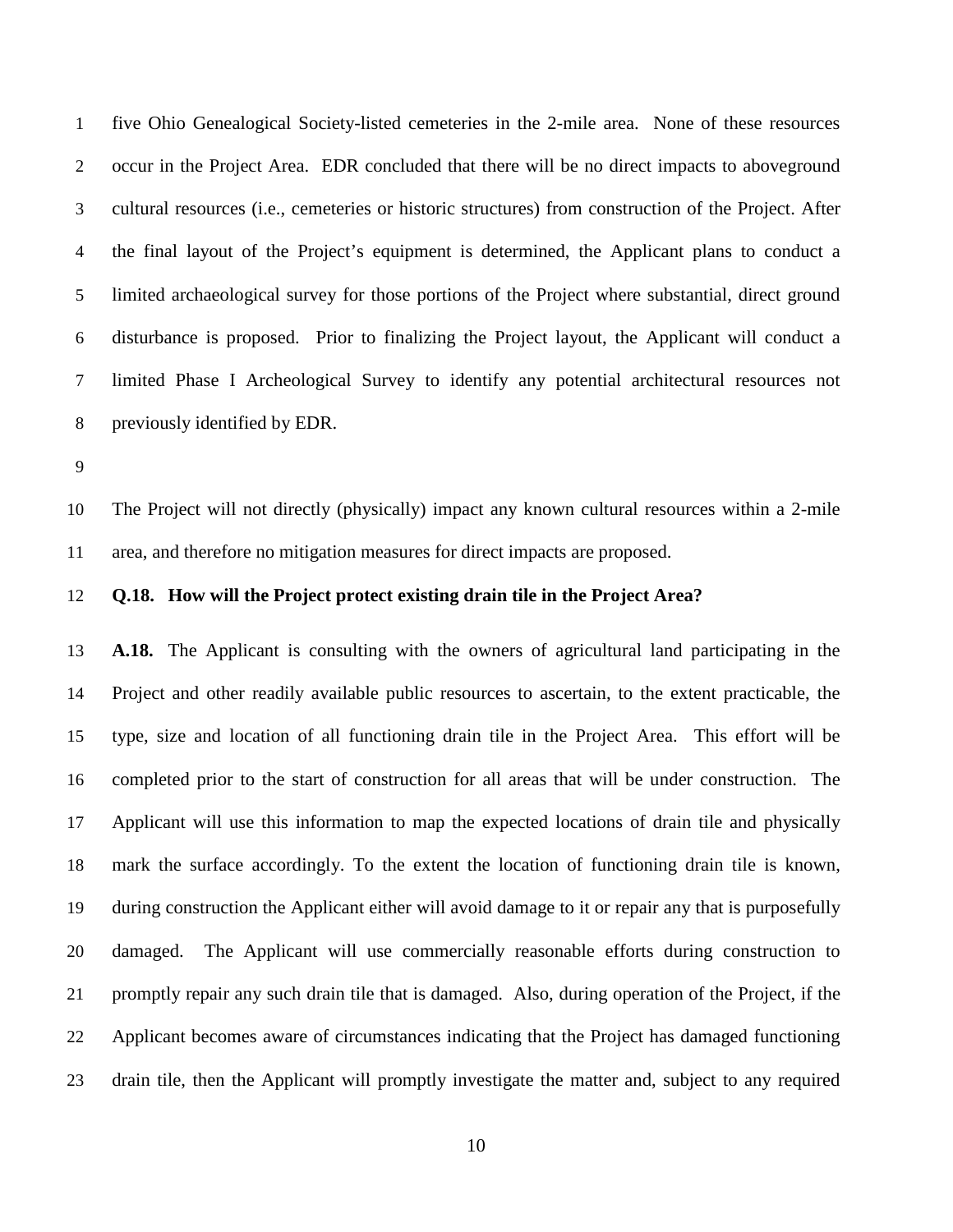five Ohio Genealogical Society-listed cemeteries in the 2-mile area. None of these resources occur in the Project Area. EDR concluded that there will be no direct impacts to aboveground cultural resources (i.e., cemeteries or historic structures) from construction of the Project. After the final layout of the Project's equipment is determined, the Applicant plans to conduct a limited archaeological survey for those portions of the Project where substantial, direct ground disturbance is proposed. Prior to finalizing the Project layout, the Applicant will conduct a limited Phase I Archeological Survey to identify any potential architectural resources not previously identified by EDR.

The Project will not directly (physically) impact any known cultural resources within a 2-mile area, and therefore no mitigation measures for direct impacts are proposed.

### **Q.18. How will the Project protect existing drain tile in the Project Area?**

**A.18.** The Applicant is consulting with the owners of agricultural land participating in the Project and other readily available public resources to ascertain, to the extent practicable, the type, size and location of all functioning drain tile in the Project Area. This effort will be completed prior to the start of construction for all areas that will be under construction. The Applicant will use this information to map the expected locations of drain tile and physically mark the surface accordingly. To the extent the location of functioning drain tile is known, during construction the Applicant either will avoid damage to it or repair any that is purposefully damaged. The Applicant will use commercially reasonable efforts during construction to promptly repair any such drain tile that is damaged. Also, during operation of the Project, if the Applicant becomes aware of circumstances indicating that the Project has damaged functioning drain tile, then the Applicant will promptly investigate the matter and, subject to any required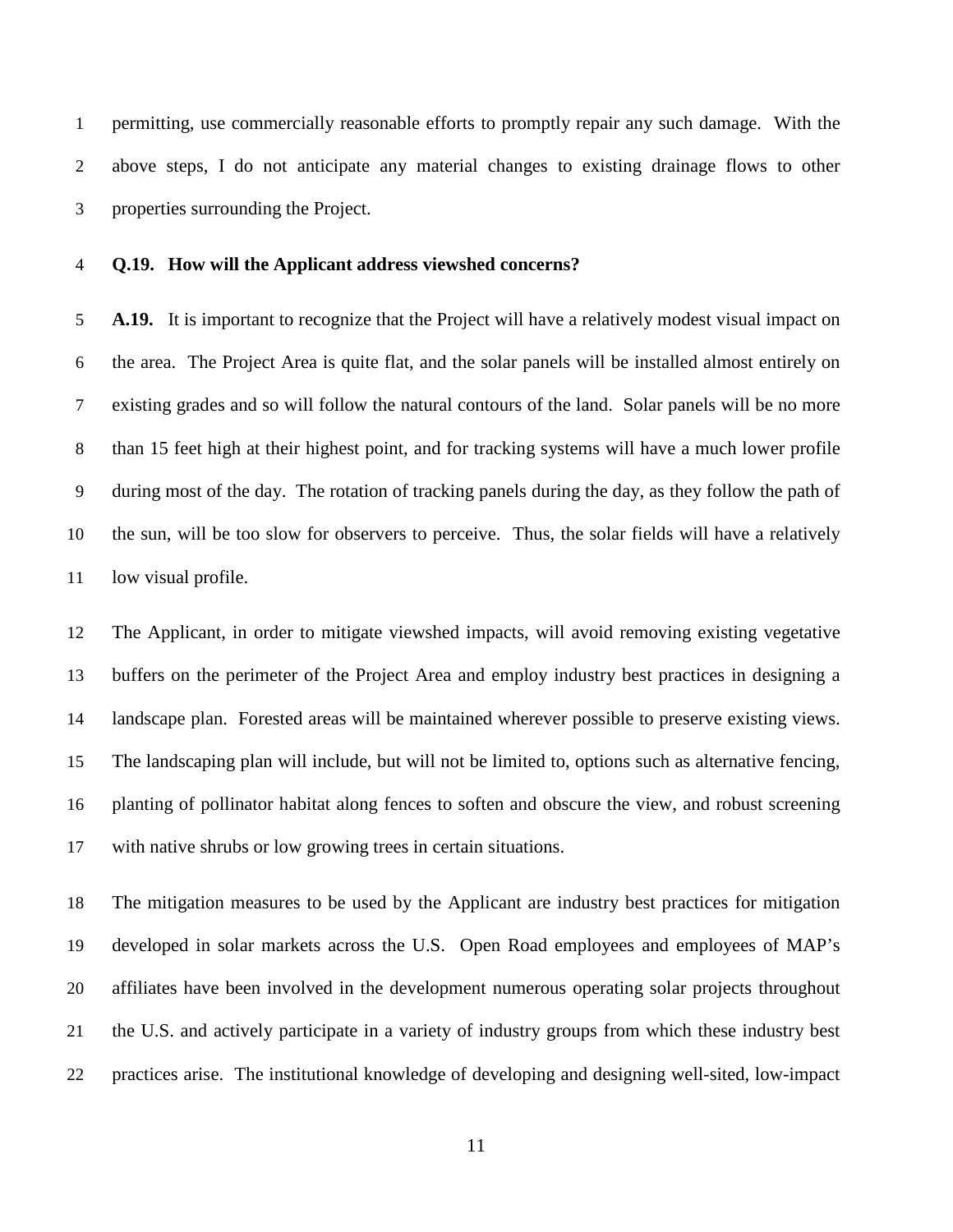permitting, use commercially reasonable efforts to promptly repair any such damage. With the above steps, I do not anticipate any material changes to existing drainage flows to other properties surrounding the Project.

#### **Q.19. How will the Applicant address viewshed concerns?**

**A.19.** It is important to recognize that the Project will have a relatively modest visual impact on the area. The Project Area is quite flat, and the solar panels will be installed almost entirely on existing grades and so will follow the natural contours of the land. Solar panels will be no more than 15 feet high at their highest point, and for tracking systems will have a much lower profile during most of the day. The rotation of tracking panels during the day, as they follow the path of the sun, will be too slow for observers to perceive. Thus, the solar fields will have a relatively low visual profile.

The Applicant, in order to mitigate viewshed impacts, will avoid removing existing vegetative buffers on the perimeter of the Project Area and employ industry best practices in designing a landscape plan. Forested areas will be maintained wherever possible to preserve existing views. The landscaping plan will include, but will not be limited to, options such as alternative fencing, planting of pollinator habitat along fences to soften and obscure the view, and robust screening with native shrubs or low growing trees in certain situations.

The mitigation measures to be used by the Applicant are industry best practices for mitigation developed in solar markets across the U.S. Open Road employees and employees of MAP's affiliates have been involved in the development numerous operating solar projects throughout the U.S. and actively participate in a variety of industry groups from which these industry best practices arise. The institutional knowledge of developing and designing well-sited, low-impact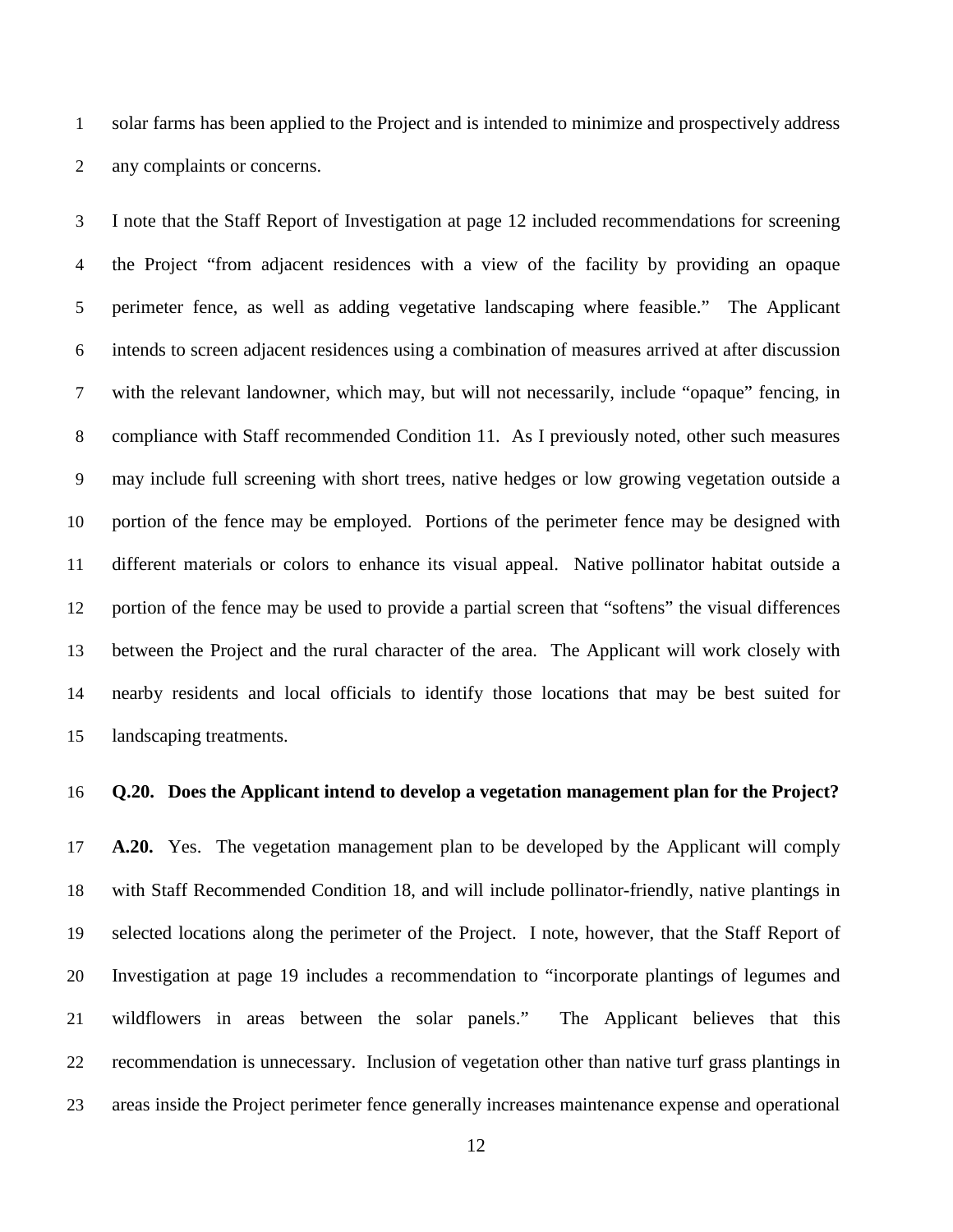solar farms has been applied to the Project and is intended to minimize and prospectively address any complaints or concerns.

I note that the Staff Report of Investigation at page 12 included recommendations for screening the Project "from adjacent residences with a view of the facility by providing an opaque perimeter fence, as well as adding vegetative landscaping where feasible." The Applicant intends to screen adjacent residences using a combination of measures arrived at after discussion with the relevant landowner, which may, but will not necessarily, include "opaque" fencing, in compliance with Staff recommended Condition 11. As I previously noted, other such measures may include full screening with short trees, native hedges or low growing vegetation outside a portion of the fence may be employed. Portions of the perimeter fence may be designed with different materials or colors to enhance its visual appeal. Native pollinator habitat outside a portion of the fence may be used to provide a partial screen that "softens" the visual differences between the Project and the rural character of the area. The Applicant will work closely with nearby residents and local officials to identify those locations that may be best suited for landscaping treatments.

#### **Q.20. Does the Applicant intend to develop a vegetation management plan for the Project?**

**A.20.** Yes. The vegetation management plan to be developed by the Applicant will comply with Staff Recommended Condition 18, and will include pollinator-friendly, native plantings in selected locations along the perimeter of the Project. I note, however, that the Staff Report of Investigation at page 19 includes a recommendation to "incorporate plantings of legumes and wildflowers in areas between the solar panels." The Applicant believes that this recommendation is unnecessary. Inclusion of vegetation other than native turf grass plantings in areas inside the Project perimeter fence generally increases maintenance expense and operational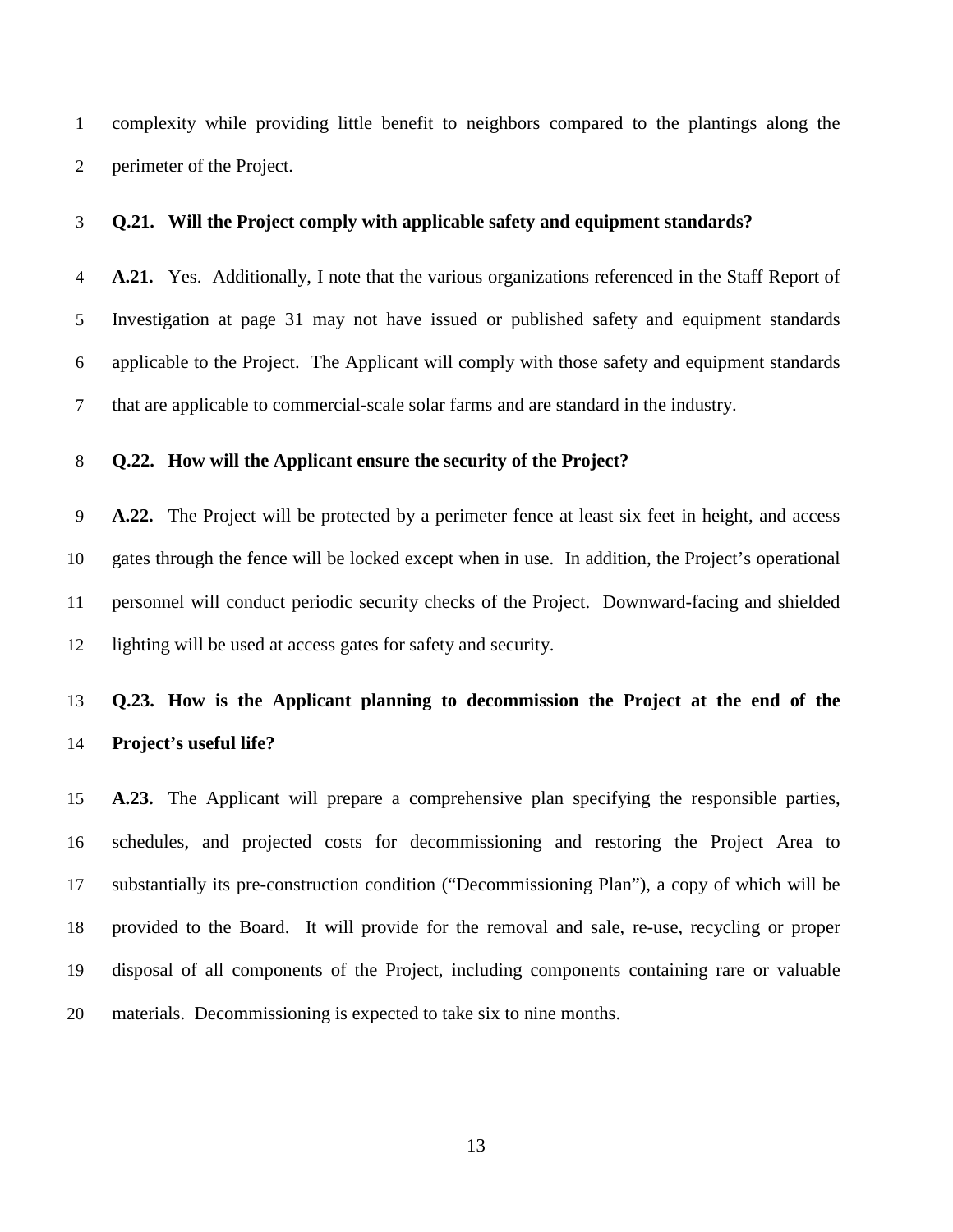complexity while providing little benefit to neighbors compared to the plantings along the perimeter of the Project.

#### **Q.21. Will the Project comply with applicable safety and equipment standards?**

**A.21.** Yes. Additionally, I note that the various organizations referenced in the Staff Report of Investigation at page 31 may not have issued or published safety and equipment standards applicable to the Project. The Applicant will comply with those safety and equipment standards that are applicable to commercial-scale solar farms and are standard in the industry.

#### **Q.22. How will the Applicant ensure the security of the Project?**

**A.22.** The Project will be protected by a perimeter fence at least six feet in height, and access gates through the fence will be locked except when in use. In addition, the Project's operational personnel will conduct periodic security checks of the Project. Downward-facing and shielded lighting will be used at access gates for safety and security.

### **Q.23. How is the Applicant planning to decommission the Project at the end of the Project's useful life?**

**A.23.** The Applicant will prepare a comprehensive plan specifying the responsible parties, schedules, and projected costs for decommissioning and restoring the Project Area to substantially its pre-construction condition ("Decommissioning Plan"), a copy of which will be provided to the Board. It will provide for the removal and sale, re-use, recycling or proper disposal of all components of the Project, including components containing rare or valuable materials. Decommissioning is expected to take six to nine months.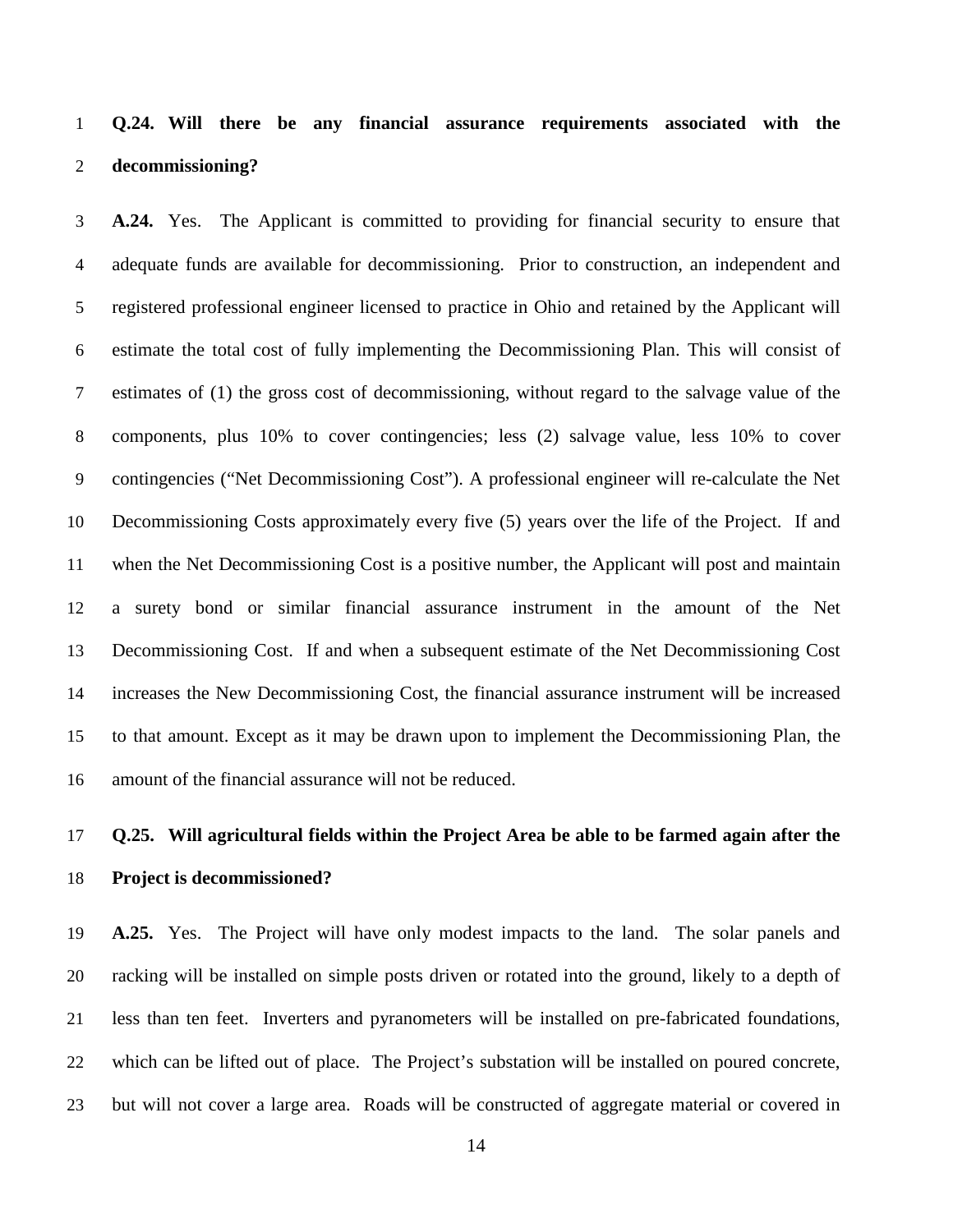# **Q.24. Will there be any financial assurance requirements associated with the decommissioning?**

**A.24.** Yes. The Applicant is committed to providing for financial security to ensure that adequate funds are available for decommissioning. Prior to construction, an independent and registered professional engineer licensed to practice in Ohio and retained by the Applicant will estimate the total cost of fully implementing the Decommissioning Plan. This will consist of estimates of (1) the gross cost of decommissioning, without regard to the salvage value of the components, plus 10% to cover contingencies; less (2) salvage value, less 10% to cover contingencies ("Net Decommissioning Cost"). A professional engineer will re-calculate the Net Decommissioning Costs approximately every five (5) years over the life of the Project. If and when the Net Decommissioning Cost is a positive number, the Applicant will post and maintain a surety bond or similar financial assurance instrument in the amount of the Net Decommissioning Cost. If and when a subsequent estimate of the Net Decommissioning Cost increases the New Decommissioning Cost, the financial assurance instrument will be increased to that amount. Except as it may be drawn upon to implement the Decommissioning Plan, the amount of the financial assurance will not be reduced.

### **Q.25. Will agricultural fields within the Project Area be able to be farmed again after the Project is decommissioned?**

**A.25.** Yes. The Project will have only modest impacts to the land. The solar panels and racking will be installed on simple posts driven or rotated into the ground, likely to a depth of less than ten feet. Inverters and pyranometers will be installed on pre-fabricated foundations, which can be lifted out of place. The Project's substation will be installed on poured concrete, but will not cover a large area. Roads will be constructed of aggregate material or covered in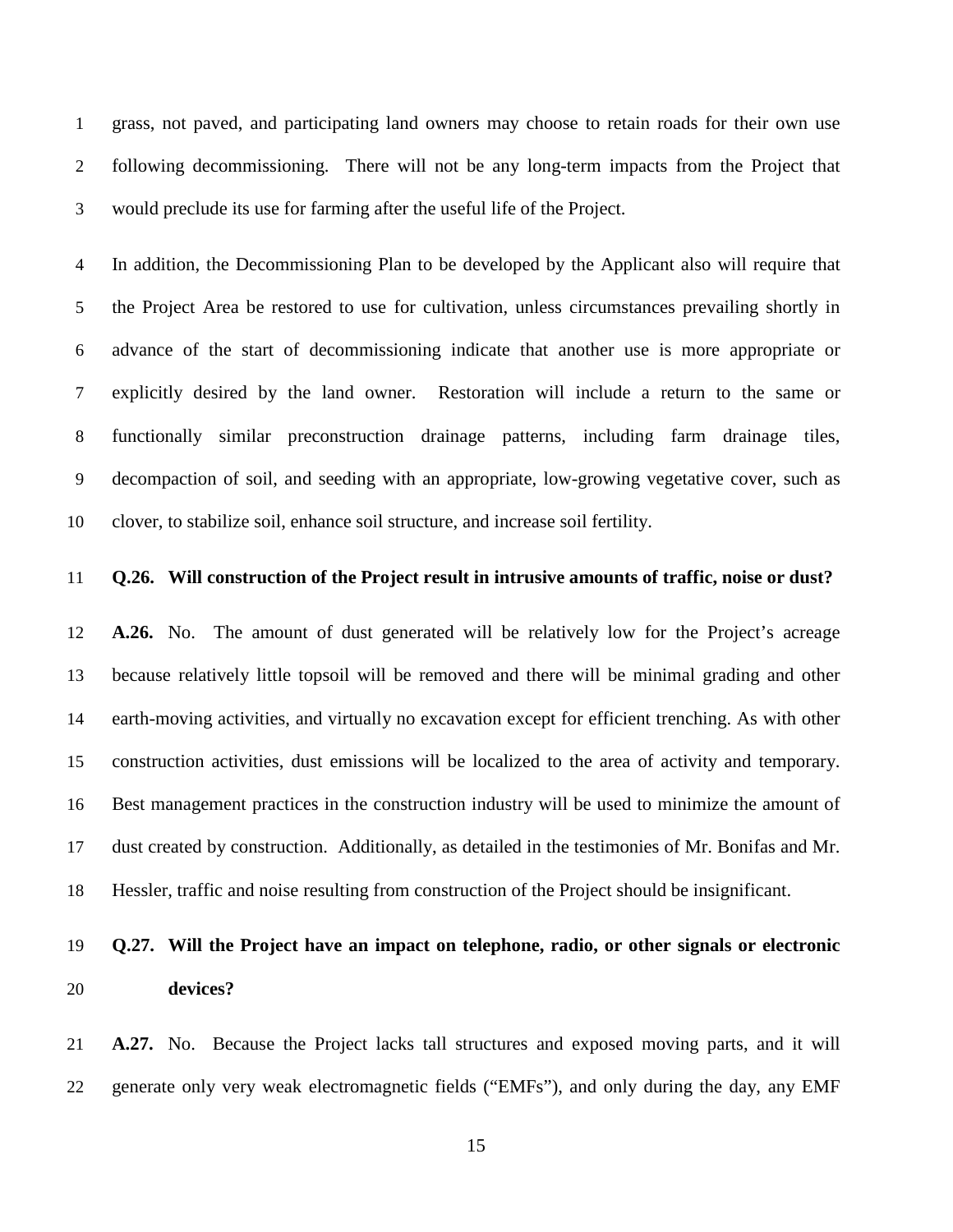grass, not paved, and participating land owners may choose to retain roads for their own use following decommissioning. There will not be any long-term impacts from the Project that would preclude its use for farming after the useful life of the Project.

In addition, the Decommissioning Plan to be developed by the Applicant also will require that the Project Area be restored to use for cultivation, unless circumstances prevailing shortly in advance of the start of decommissioning indicate that another use is more appropriate or explicitly desired by the land owner. Restoration will include a return to the same or functionally similar preconstruction drainage patterns, including farm drainage tiles, decompaction of soil, and seeding with an appropriate, low-growing vegetative cover, such as clover, to stabilize soil, enhance soil structure, and increase soil fertility.

### **Q.26. Will construction of the Project result in intrusive amounts of traffic, noise or dust?**

**A.26.** No. The amount of dust generated will be relatively low for the Project's acreage because relatively little topsoil will be removed and there will be minimal grading and other earth-moving activities, and virtually no excavation except for efficient trenching. As with other construction activities, dust emissions will be localized to the area of activity and temporary. Best management practices in the construction industry will be used to minimize the amount of dust created by construction. Additionally, as detailed in the testimonies of Mr. Bonifas and Mr. Hessler, traffic and noise resulting from construction of the Project should be insignificant.

### **Q.27. Will the Project have an impact on telephone, radio, or other signals or electronic devices?**

**A.27.** No. Because the Project lacks tall structures and exposed moving parts, and it will generate only very weak electromagnetic fields ("EMFs"), and only during the day, any EMF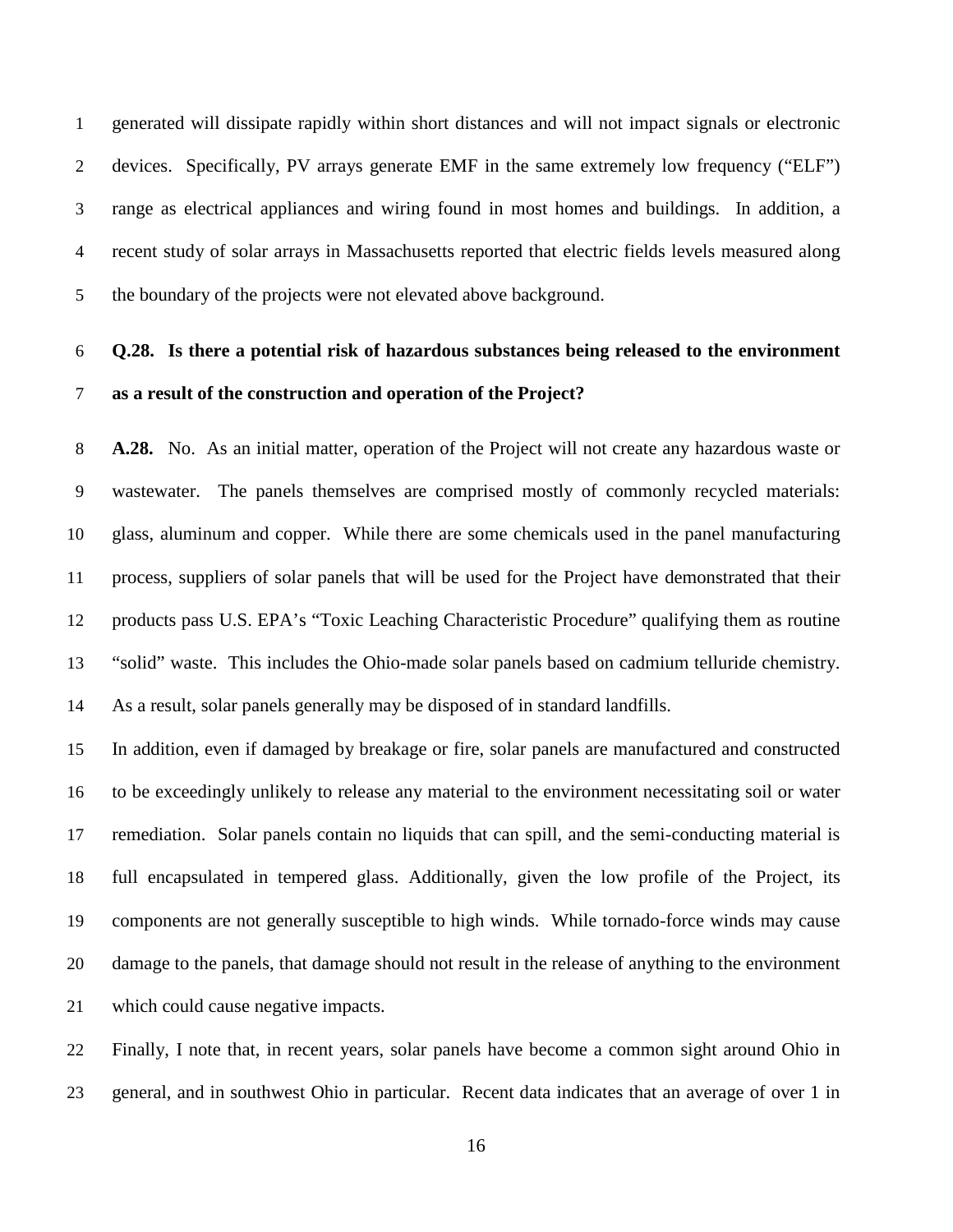generated will dissipate rapidly within short distances and will not impact signals or electronic devices. Specifically, PV arrays generate EMF in the same extremely low frequency ("ELF") range as electrical appliances and wiring found in most homes and buildings. In addition, a recent study of solar arrays in Massachusetts reported that electric fields levels measured along the boundary of the projects were not elevated above background.

### **Q.28. Is there a potential risk of hazardous substances being released to the environment as a result of the construction and operation of the Project?**

**A.28.** No. As an initial matter, operation of the Project will not create any hazardous waste or wastewater. The panels themselves are comprised mostly of commonly recycled materials: glass, aluminum and copper. While there are some chemicals used in the panel manufacturing process, suppliers of solar panels that will be used for the Project have demonstrated that their products pass U.S. EPA's "Toxic Leaching Characteristic Procedure" qualifying them as routine "solid" waste. This includes the Ohio-made solar panels based on cadmium telluride chemistry. As a result, solar panels generally may be disposed of in standard landfills.

In addition, even if damaged by breakage or fire, solar panels are manufactured and constructed to be exceedingly unlikely to release any material to the environment necessitating soil or water remediation. Solar panels contain no liquids that can spill, and the semi-conducting material is full encapsulated in tempered glass. Additionally, given the low profile of the Project, its components are not generally susceptible to high winds. While tornado-force winds may cause damage to the panels, that damage should not result in the release of anything to the environment which could cause negative impacts.

Finally, I note that, in recent years, solar panels have become a common sight around Ohio in general, and in southwest Ohio in particular. Recent data indicates that an average of over 1 in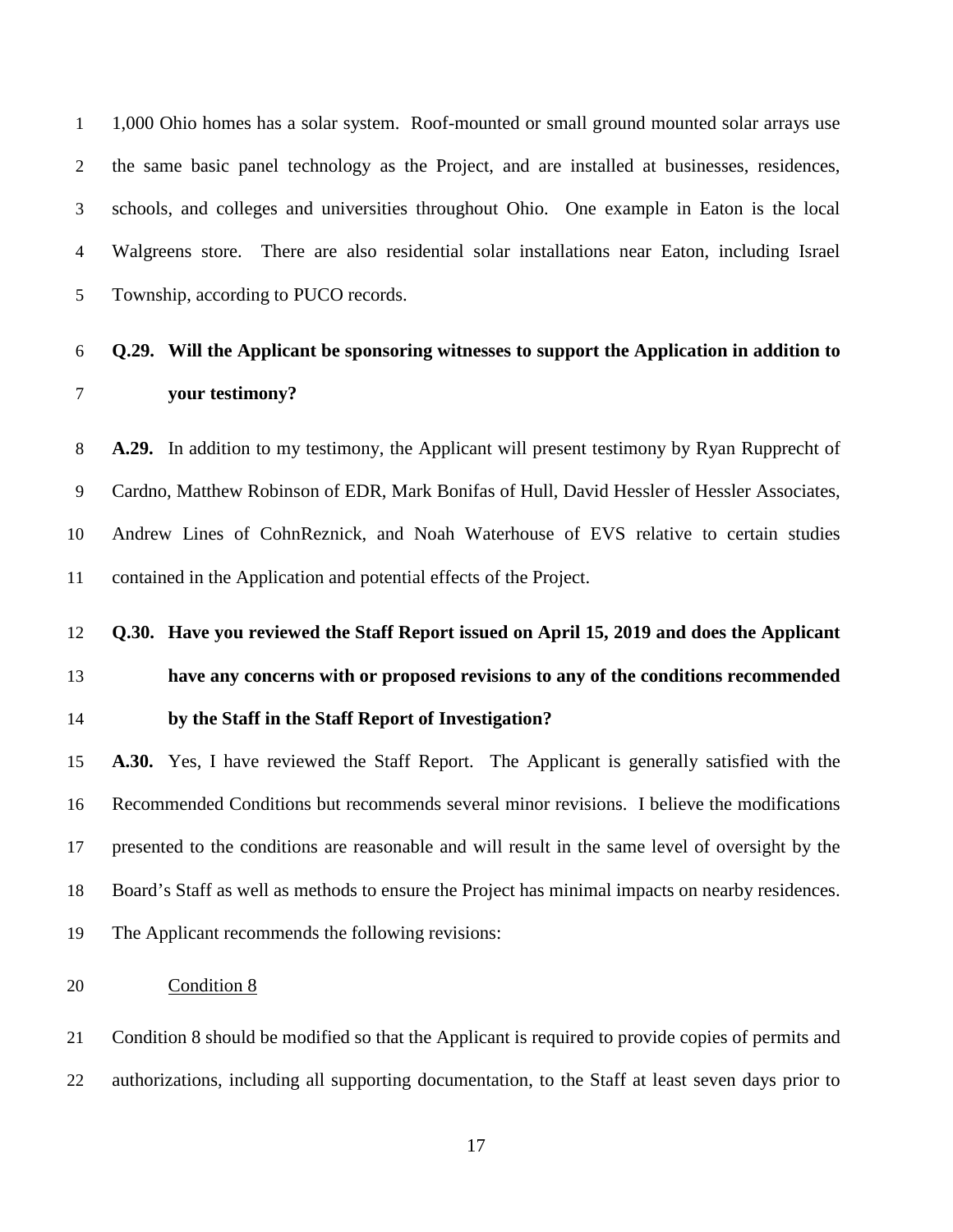1,000 Ohio homes has a solar system. Roof-mounted or small ground mounted solar arrays use the same basic panel technology as the Project, and are installed at businesses, residences, schools, and colleges and universities throughout Ohio. One example in Eaton is the local Walgreens store. There are also residential solar installations near Eaton, including Israel Township, according to PUCO records.

## **Q.29. Will the Applicant be sponsoring witnesses to support the Application in addition to your testimony?**

**A.29.** In addition to my testimony, the Applicant will present testimony by Ryan Rupprecht of Cardno, Matthew Robinson of EDR, Mark Bonifas of Hull, David Hessler of Hessler Associates, Andrew Lines of CohnReznick, and Noah Waterhouse of EVS relative to certain studies contained in the Application and potential effects of the Project.

# **Q.30. Have you reviewed the Staff Report issued on April 15, 2019 and does the Applicant have any concerns with or proposed revisions to any of the conditions recommended by the Staff in the Staff Report of Investigation?**

**A.30.** Yes, I have reviewed the Staff Report. The Applicant is generally satisfied with the Recommended Conditions but recommends several minor revisions. I believe the modifications presented to the conditions are reasonable and will result in the same level of oversight by the Board's Staff as well as methods to ensure the Project has minimal impacts on nearby residences. The Applicant recommends the following revisions:

### Condition 8

Condition 8 should be modified so that the Applicant is required to provide copies of permits and authorizations, including all supporting documentation, to the Staff at least seven days prior to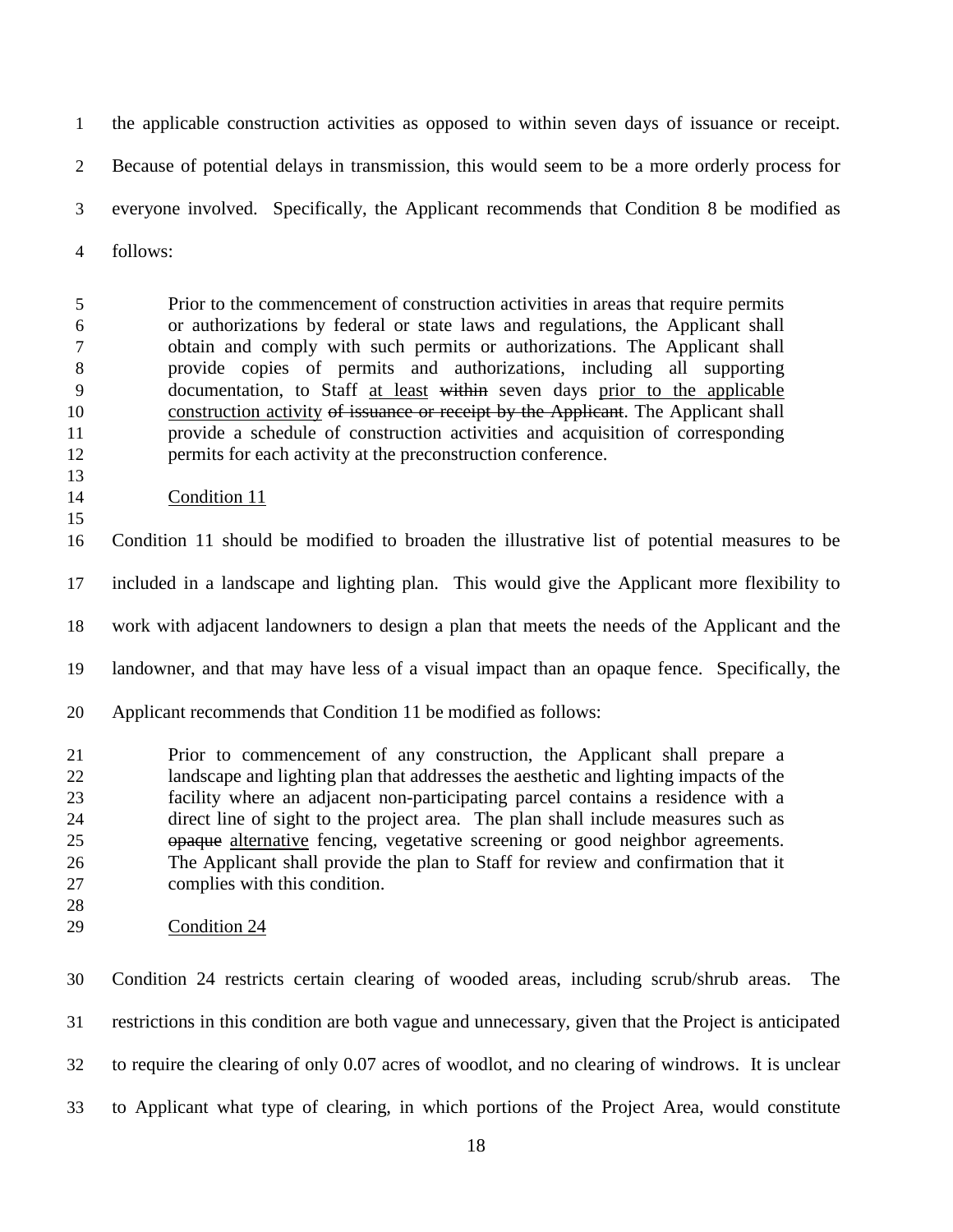the applicable construction activities as opposed to within seven days of issuance or receipt. Because of potential delays in transmission, this would seem to be a more orderly process for everyone involved. Specifically, the Applicant recommends that Condition 8 be modified as follows:

Prior to the commencement of construction activities in areas that require permits or authorizations by federal or state laws and regulations, the Applicant shall obtain and comply with such permits or authorizations. The Applicant shall provide copies of permits and authorizations, including all supporting documentation, to Staff at least within seven days prior to the applicable 10 construction activity of issuance or receipt by the Applicant. The Applicant shall provide a schedule of construction activities and acquisition of corresponding permits for each activity at the preconstruction conference.

Condition 11

Condition 11 should be modified to broaden the illustrative list of potential measures to be

included in a landscape and lighting plan. This would give the Applicant more flexibility to

work with adjacent landowners to design a plan that meets the needs of the Applicant and the

landowner, and that may have less of a visual impact than an opaque fence. Specifically, the

Applicant recommends that Condition 11 be modified as follows:

Prior to commencement of any construction, the Applicant shall prepare a landscape and lighting plan that addresses the aesthetic and lighting impacts of the facility where an adjacent non-participating parcel contains a residence with a direct line of sight to the project area. The plan shall include measures such as opaque alternative fencing, vegetative screening or good neighbor agreements. The Applicant shall provide the plan to Staff for review and confirmation that it complies with this condition.

 Condition 24

Condition 24 restricts certain clearing of wooded areas, including scrub/shrub areas. The restrictions in this condition are both vague and unnecessary, given that the Project is anticipated to require the clearing of only 0.07 acres of woodlot, and no clearing of windrows. It is unclear to Applicant what type of clearing, in which portions of the Project Area, would constitute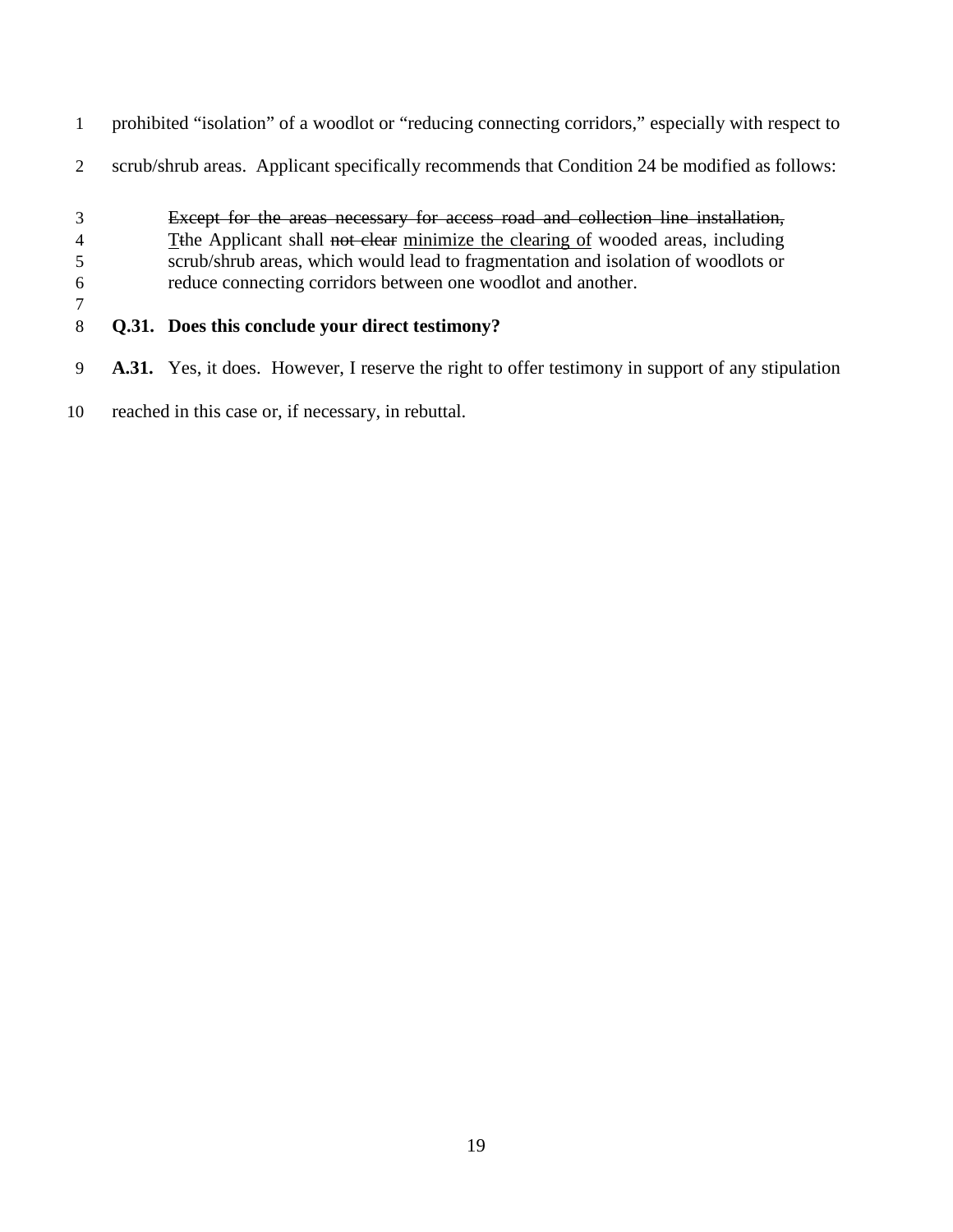- prohibited "isolation" of a woodlot or "reducing connecting corridors," especially with respect to
- scrub/shrub areas. Applicant specifically recommends that Condition 24 be modified as follows:
- Except for the areas necessary for access road and collection line installation, 4 Tthe Applicant shall not clear minimize the clearing of wooded areas, including scrub/shrub areas, which would lead to fragmentation and isolation of woodlots or reduce connecting corridors between one woodlot and another.
- 

### **Q.31. Does this conclude your direct testimony?**

- **A.31.** Yes, it does. However, I reserve the right to offer testimony in support of any stipulation
- reached in this case or, if necessary, in rebuttal.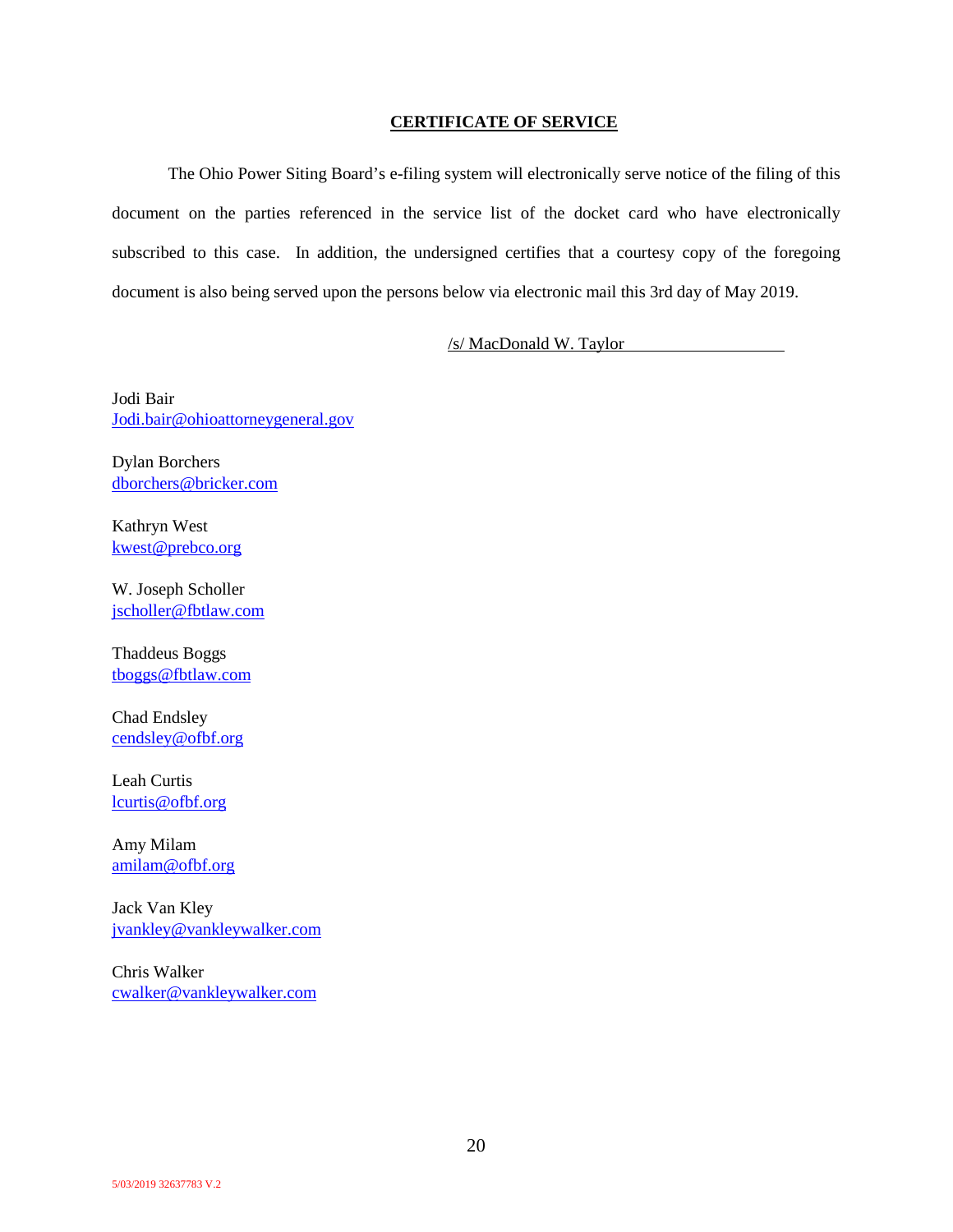#### **CERTIFICATE OF SERVICE**

The Ohio Power Siting Board's e-filing system will electronically serve notice of the filing of this document on the parties referenced in the service list of the docket card who have electronically subscribed to this case. In addition, the undersigned certifies that a courtesy copy of the foregoing document is also being served upon the persons below via electronic mail this 3rd day of May 2019.

#### /s/ MacDonald W. Taylor

Jodi Bair Jodi.bair@ohioattorneygeneral.gov

Dylan Borchers dborchers@bricker.com

Kathryn West kwest@prebco.org

W. Joseph Scholler jscholler@fbtlaw.com

Thaddeus Boggs tboggs@fbtlaw.com

Chad Endsley cendsley@ofbf.org

Leah Curtis lcurtis@ofbf.org

Amy Milam amilam@ofbf.org

Jack Van Kley jvankley@vankleywalker.com

Chris Walker cwalker@vankleywalker.com